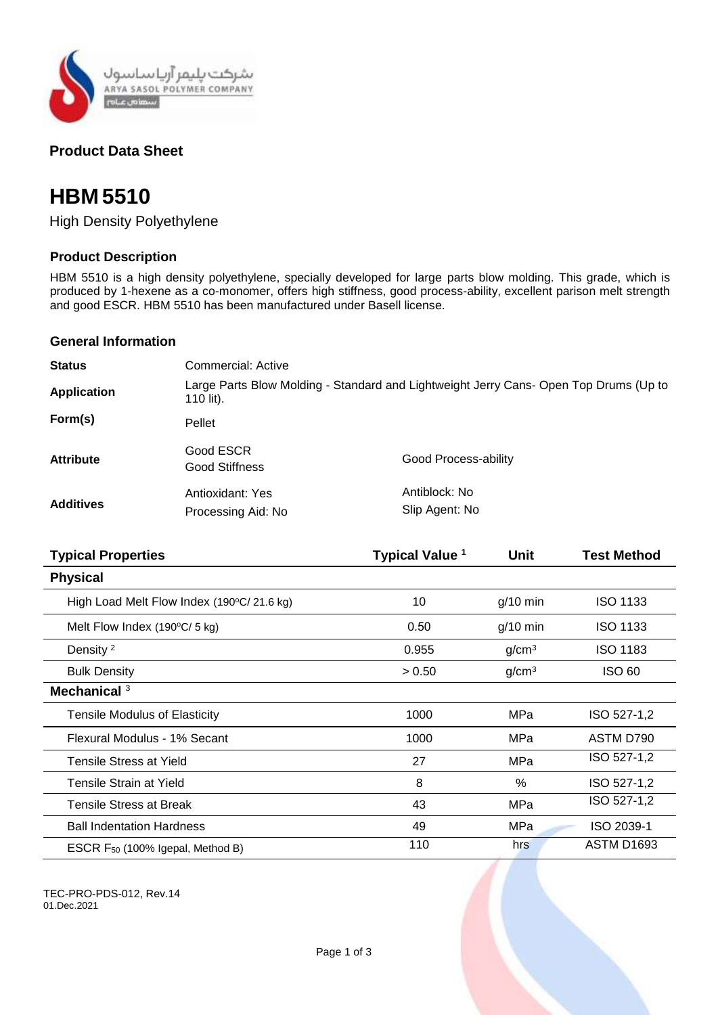

## **Product Data Sheet**

# **HBM 5510**

High Density Polyethylene

### **Product Description**

HBM 5510 is a high density polyethylene, specially developed for large parts blow molding. This grade, which is produced by 1-hexene as a co-monomer, offers high stiffness, good process-ability, excellent parison melt strength and good ESCR. HBM 5510 has been manufactured under Basell license.

#### **General Information**

| <b>Status</b>      | Commercial: Active                                                                                 |                                 |  |
|--------------------|----------------------------------------------------------------------------------------------------|---------------------------------|--|
| <b>Application</b> | Large Parts Blow Molding - Standard and Lightweight Jerry Cans- Open Top Drums (Up to<br>110 lit). |                                 |  |
| Form(s)            | Pellet                                                                                             |                                 |  |
| <b>Attribute</b>   | Good ESCR<br>Good Stiffness                                                                        | Good Process-ability            |  |
| <b>Additives</b>   | Antioxidant: Yes<br>Processing Aid: No                                                             | Antiblock: No<br>Slip Agent: No |  |

| <b>Typical Properties</b>                    | <b>Typical Value 1</b> | Unit              | <b>Test Method</b> |
|----------------------------------------------|------------------------|-------------------|--------------------|
| <b>Physical</b>                              |                        |                   |                    |
| High Load Melt Flow Index (190°C/21.6 kg)    | 10                     | $g/10$ min        | ISO 1133           |
| Melt Flow Index $(190^{\circ}C/5$ kg)        | 0.50                   | $g/10$ min        | ISO 1133           |
| Density <sup>2</sup>                         | 0.955                  | g/cm <sup>3</sup> | ISO 1183           |
| <b>Bulk Density</b>                          | > 0.50                 | g/cm <sup>3</sup> | <b>ISO 60</b>      |
| Mechanical <sup>3</sup>                      |                        |                   |                    |
| <b>Tensile Modulus of Elasticity</b>         | 1000                   | <b>MPa</b>        | ISO 527-1,2        |
| Flexural Modulus - 1% Secant                 | 1000                   | MPa               | ASTM D790          |
| <b>Tensile Stress at Yield</b>               | 27                     | MPa               | ISO 527-1,2        |
| Tensile Strain at Yield                      | 8                      | $\%$              | ISO 527-1,2        |
| Tensile Stress at Break                      | 43                     | MPa               | ISO 527-1,2        |
| <b>Ball Indentation Hardness</b>             | 49                     | <b>MPa</b>        | ISO 2039-1         |
| ESCR F <sub>50</sub> (100% Igepal, Method B) | 110                    | hrs               | <b>ASTM D1693</b>  |

TEC-PRO-PDS-012, Rev.14 01.Dec.2021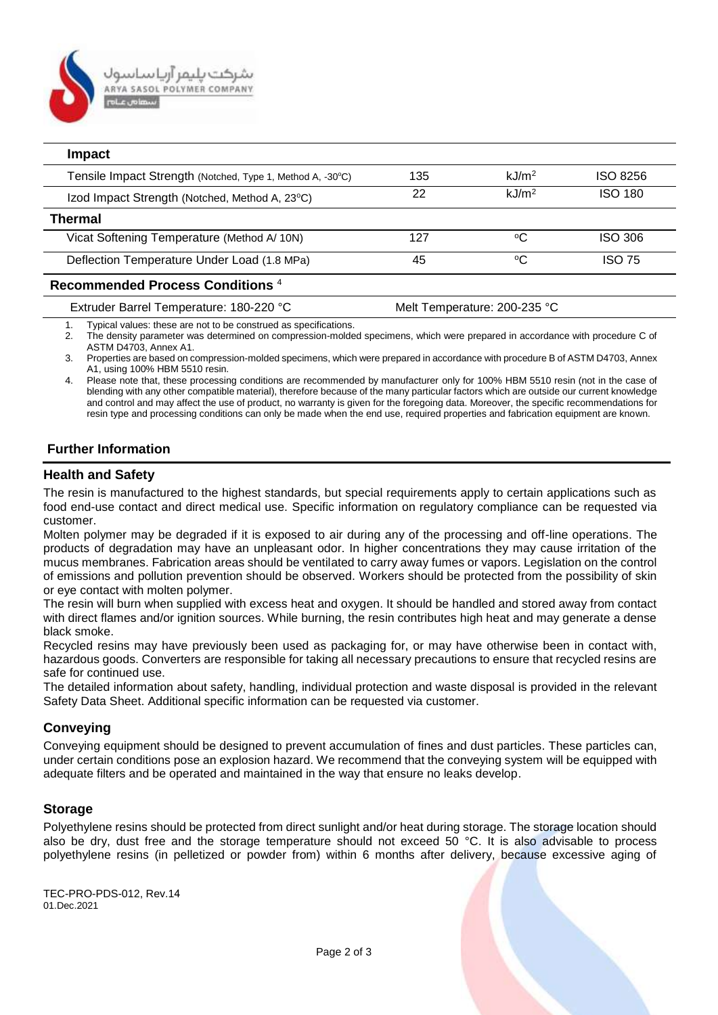

| <b>Impact</b>                                              |     |                      |                |
|------------------------------------------------------------|-----|----------------------|----------------|
| Tensile Impact Strength (Notched, Type 1, Method A, -30°C) | 135 | $k$ J/m <sup>2</sup> | ISO 8256       |
| Izod Impact Strength (Notched, Method A, 23°C)             | 22  | $k$ J/m <sup>2</sup> | <b>ISO 180</b> |
| Thermal                                                    |     |                      |                |
| Vicat Softening Temperature (Method A/10N)                 | 127 | °C                   | <b>ISO 306</b> |
| Deflection Temperature Under Load (1.8 MPa)                | 45  | °C                   | ISO 75         |
| Recommended Process Conditions <sup>4</sup>                |     |                      |                |

Extruder Barrel Temperature: 180-220 °C Melt Temperature: 200-235 °C

1. Typical values: these are not to be construed as specifications.

2. The density parameter was determined on compression-molded specimens, which were prepared in accordance with procedure C of ASTM D4703, Annex A1.

3. Properties are based on compression-molded specimens, which were prepared in accordance with procedure B of ASTM D4703, Annex A1, using 100% HBM 5510 resin.

4. Please note that, these processing conditions are recommended by manufacturer only for 100% HBM 5510 resin (not in the case of blending with any other compatible material), therefore because of the many particular factors which are outside our current knowledge and control and may affect the use of product, no warranty is given for the foregoing data. Moreover, the specific recommendations for resin type and processing conditions can only be made when the end use, required properties and fabrication equipment are known.

#### **Further Information**

#### **Health and Safety**

The resin is manufactured to the highest standards, but special requirements apply to certain applications such as food end-use contact and direct medical use. Specific information on regulatory compliance can be requested via customer.

Molten polymer may be degraded if it is exposed to air during any of the processing and off-line operations. The products of degradation may have an unpleasant odor. In higher concentrations they may cause irritation of the mucus membranes. Fabrication areas should be ventilated to carry away fumes or vapors. Legislation on the control of emissions and pollution prevention should be observed. Workers should be protected from the possibility of skin or eye contact with molten polymer.

The resin will burn when supplied with excess heat and oxygen. It should be handled and stored away from contact with direct flames and/or ignition sources. While burning, the resin contributes high heat and may generate a dense black smoke.

Recycled resins may have previously been used as packaging for, or may have otherwise been in contact with, hazardous goods. Converters are responsible for taking all necessary precautions to ensure that recycled resins are safe for continued use.

The detailed information about safety, handling, individual protection and waste disposal is provided in the relevant Safety Data Sheet. Additional specific information can be requested via customer.

#### **Conveying**

Conveying equipment should be designed to prevent accumulation of fines and dust particles. These particles can, under certain conditions pose an explosion hazard. We recommend that the conveying system will be equipped with adequate filters and be operated and maintained in the way that ensure no leaks develop.

#### **Storage**

Polyethylene resins should be protected from direct sunlight and/or heat during storage. The storage location should also be dry, dust free and the storage temperature should not exceed 50 °C. It is also advisable to process polyethylene resins (in pelletized or powder from) within 6 months after delivery, because excessive aging of

TEC-PRO-PDS-012, Rev.14 01.Dec.2021